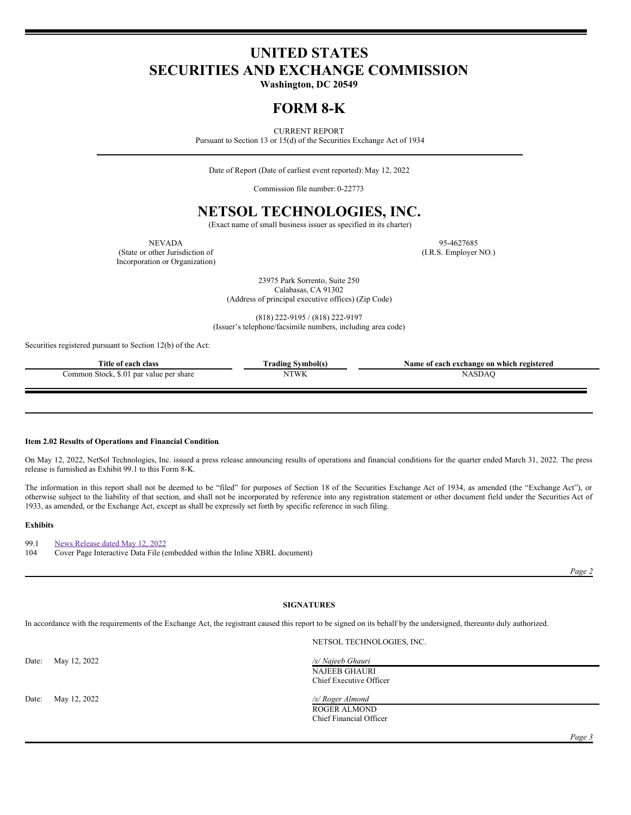# **UNITED STATES SECURITIES AND EXCHANGE COMMISSION**

**Washington, DC 20549**

# **FORM 8-K**

CURRENT REPORT

Pursuant to Section 13 or 15(d) of the Securities Exchange Act of 1934

Date of Report (Date of earliest event reported): May 12, 2022

Commission file number: 0-22773

# **NETSOL TECHNOLOGIES, INC.**

(Exact name of small business issuer as specified in its charter)

(State or other Jurisdiction of (I.R.S. Employer NO.) Incorporation or Organization)

NEVADA 95-4627685

23975 Park Sorrento, Suite 250 Calabasas, CA 91302 (Address of principal executive offices) (Zip Code)

(818) 222-9195 / (818) 222-9197 (Issuer's telephone/facsimile numbers, including area code)

Securities registered pursuant to Section 12(b) of the Act:

| Title of <b>c</b><br><i>i</i> each class          | Symbol(s)<br>rading | Name of each exchange on which registered |
|---------------------------------------------------|---------------------|-------------------------------------------|
| \$.0<br>Stock.<br>. par value per share<br>`ommon | <b>NTWK</b>         | SDA                                       |

## **Item 2.02 Results of Operations and Financial Condition**.

On May 12, 2022, NetSol Technologies, Inc. issued a press release announcing results of operations and financial conditions for the quarter ended March 31, 2022. The press release is furnished as Exhibit 99.1 to this Form 8-K.

The information in this report shall not be deemed to be "filed" for purposes of Section 18 of the Securities Exchange Act of 1934, as amended (the "Exchange Act"), or otherwise subject to the liability of that section, and shall not be incorporated by reference into any registration statement or other document field under the Securities Act of 1933, as amended, or the Exchange Act, except as shall be expressly set forth by specific reference in such filing.

#### **Exhibits**

99.1 News [Release](#page-3-0) dated May 12, 2022 104 Cover Page Interactive Data File (embedded within the Inline XBRL document)

*Page 2*

# **SIGNATURES**

In accordance with the requirements of the Exchange Act, the registrant caused this report to be signed on its behalf by the undersigned, thereunto duly authorized.

Date: May 12, 2022 */s/ Najeeb Ghauri*

Date: May 12, 2022 */s/ Roger Almond*

NETSOL TECHNOLOGIES, INC.

NAJEEB GHAURI Chief Executive Officer

ROGER ALMOND Chief Financial Officer

*Page 3*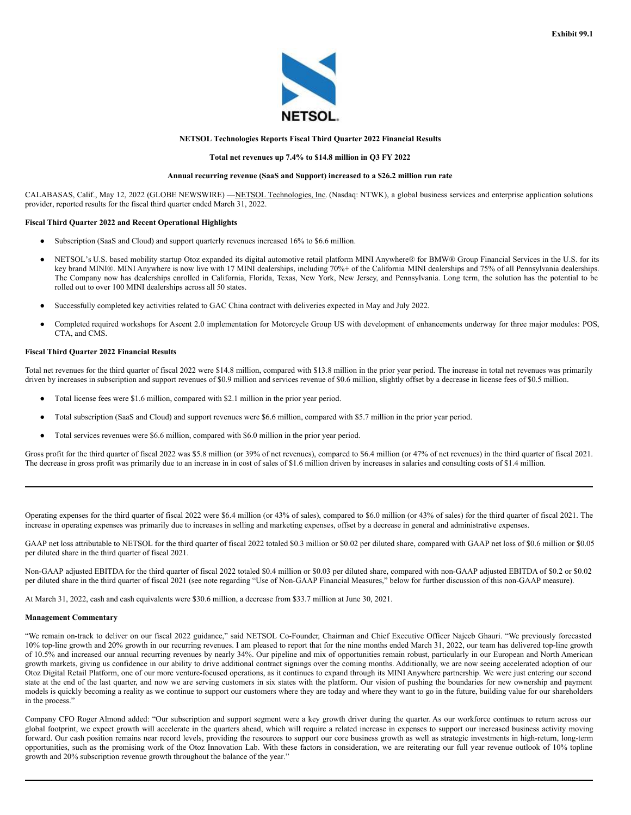

# **NETSOL Technologies Reports Fiscal Third Quarter 2022 Financial Results**

### **Total net revenues up 7.4% to \$14.8 million in Q3 FY 2022**

## **Annual recurring revenue (SaaS and Support) increased to a \$26.2 million run rate**

CALABASAS, Calif., May 12, 2022 (GLOBE NEWSWIRE) —NETSOL Technologies, Inc. (Nasdaq: NTWK), a global business services and enterprise application solutions provider, reported results for the fiscal third quarter ended March 31, 2022.

## **Fiscal Third Quarter 2022 and Recent Operational Highlights**

- Subscription (SaaS and Cloud) and support quarterly revenues increased 16% to \$6.6 million.
- NETSOL's U.S. based mobility startup Otoz expanded its digital automotive retail platform MINI Anywhere® for BMW® Group Financial Services in the U.S. for its key brand MINI®. MINI Anywhere is now live with 17 MINI dealerships, including 70%+ of the California MINI dealerships and 75% of all Pennsylvania dealerships. The Company now has dealerships enrolled in California, Florida, Texas, New York, New Jersey, and Pennsylvania. Long term, the solution has the potential to be rolled out to over 100 MINI dealerships across all 50 states.
- Successfully completed key activities related to GAC China contract with deliveries expected in May and July 2022.
- Completed required workshops for Ascent 2.0 implementation for Motorcycle Group US with development of enhancements underway for three major modules: POS, CTA, and CMS.

#### **Fiscal Third Quarter 2022 Financial Results**

Total net revenues for the third quarter of fiscal 2022 were \$14.8 million, compared with \$13.8 million in the prior year period. The increase in total net revenues was primarily driven by increases in subscription and support revenues of \$0.9 million and services revenue of \$0.6 million, slightly offset by a decrease in license fees of \$0.5 million.

- Total license fees were \$1.6 million, compared with \$2.1 million in the prior year period.
- Total subscription (SaaS and Cloud) and support revenues were \$6.6 million, compared with \$5.7 million in the prior year period.
- Total services revenues were \$6.6 million, compared with \$6.0 million in the prior year period.

Gross profit for the third quarter of fiscal 2022 was \$5.8 million (or 39% of net revenues), compared to \$6.4 million (or 47% of net revenues) in the third quarter of fiscal 2021. The decrease in gross profit was primarily due to an increase in in cost of sales of \$1.6 million driven by increases in salaries and consulting costs of \$1.4 million.

Operating expenses for the third quarter of fiscal 2022 were \$6.4 million (or 43% of sales), compared to \$6.0 million (or 43% of sales) for the third quarter of fiscal 2021. The increase in operating expenses was primarily due to increases in selling and marketing expenses, offset by a decrease in general and administrative expenses.

GAAP net loss attributable to NETSOL for the third quarter of fiscal 2022 totaled \$0.3 million or \$0.02 per diluted share, compared with GAAP net loss of \$0.6 million or \$0.05 per diluted share in the third quarter of fiscal 2021.

Non-GAAP adjusted EBITDA for the third quarter of fiscal 2022 totaled \$0.4 million or \$0.03 per diluted share, compared with non-GAAP adjusted EBITDA of \$0.2 or \$0.02 per diluted share in the third quarter of fiscal 2021 (see note regarding "Use of Non-GAAP Financial Measures," below for further discussion of this non-GAAP measure).

At March 31, 2022, cash and cash equivalents were \$30.6 million, a decrease from \$33.7 million at June 30, 2021.

### **Management Commentary**

"We remain on-track to deliver on our fiscal 2022 guidance," said NETSOL Co-Founder, Chairman and Chief Executive Officer Najeeb Ghauri. "We previously forecasted 10% top-line growth and 20% growth in our recurring revenues. I am pleased to report that for the nine months ended March 31, 2022, our team has delivered top-line growth of 10.5% and increased our annual recurring revenues by nearly 34%. Our pipeline and mix of opportunities remain robust, particularly in our European and North American growth markets, giving us confidence in our ability to drive additional contract signings over the coming months. Additionally, we are now seeing accelerated adoption of our Otoz Digital Retail Platform, one of our more venture-focused operations, as it continues to expand through its MINI Anywhere partnership. We were just entering our second state at the end of the last quarter, and now we are serving customers in six states with the platform. Our vision of pushing the boundaries for new ownership and payment models is quickly becoming a reality as we continue to support our customers where they are today and where they want to go in the future, building value for our shareholders in the process."

Company CFO Roger Almond added: "Our subscription and support segment were a key growth driver during the quarter. As our workforce continues to return across our global footprint, we expect growth will accelerate in the quarters ahead, which will require a related increase in expenses to support our increased business activity moving forward. Our cash position remains near record levels, providing the resources to support our core business growth as well as strategic investments in high-return, long-term opportunities, such as the promising work of the Otoz Innovation Lab. With these factors in consideration, we are reiterating our full year revenue outlook of 10% topline growth and 20% subscription revenue growth throughout the balance of the year."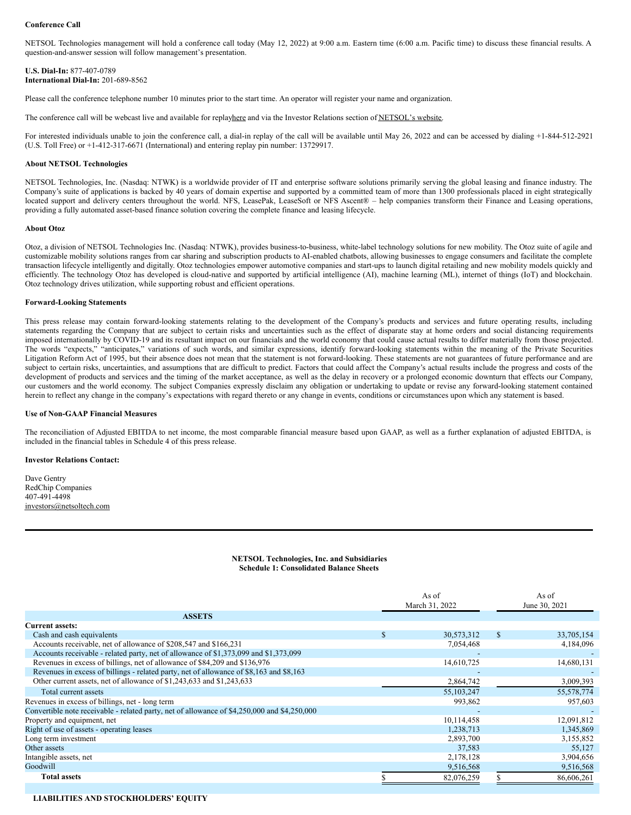NETSOL Technologies management will hold a conference call today (May 12, 2022) at 9:00 a.m. Eastern time (6:00 a.m. Pacific time) to discuss these financial results. A question-and-answer session will follow management's presentation.

## **U.S. Dial-In:** 877-407-0789 **International Dial-In:** 201-689-8562

Please call the conference telephone number 10 minutes prior to the start time. An operator will register your name and organization.

The conference call will be webcast live and available for replayhere and via the Investor Relations section of NETSOL's website.

For interested individuals unable to join the conference call, a dial-in replay of the call will be available until May 26, 2022 and can be accessed by dialing +1-844-512-2921 (U.S. Toll Free) or +1-412-317-6671 (International) and entering replay pin number: 13729917.

### **About NETSOL Technologies**

NETSOL Technologies, Inc. (Nasdaq: NTWK) is a worldwide provider of IT and enterprise software solutions primarily serving the global leasing and finance industry. The Company's suite of applications is backed by 40 years of domain expertise and supported by a committed team of more than 1300 professionals placed in eight strategically located support and delivery centers throughout the world. NFS, LeasePak, LeaseSoft or NFS Ascent® – help companies transform their Finance and Leasing operations, providing a fully automated asset-based finance solution covering the complete finance and leasing lifecycle.

#### **About Otoz**

Otoz, a division of NETSOL Technologies Inc. (Nasdaq: NTWK), provides business-to-business, white-label technology solutions for new mobility. The Otoz suite of agile and customizable mobility solutions ranges from car sharing and subscription products to AI-enabled chatbots, allowing businesses to engage consumers and facilitate the complete transaction lifecycle intelligently and digitally. Otoz technologies empower automotive companies and start-ups to launch digital retailing and new mobility models quickly and efficiently. The technology Otoz has developed is cloud-native and supported by artificial intelligence (AI), machine learning (ML), internet of things (IoT) and blockchain. Otoz technology drives utilization, while supporting robust and efficient operations.

#### **Forward-Looking Statements**

This press release may contain forward-looking statements relating to the development of the Company's products and services and future operating results, including statements regarding the Company that are subject to certain risks and uncertainties such as the effect of disparate stay at home orders and social distancing requirements imposed internationally by COVID-19 and its resultant impact on our financials and the world economy that could cause actual results to differ materially from those projected. The words "expects," "anticipates," variations of such words, and similar expressions, identify forward-looking statements within the meaning of the Private Securities Litigation Reform Act of 1995, but their absence does not mean that the statement is not forward-looking. These statements are not guarantees of future performance and are subject to certain risks, uncertainties, and assumptions that are difficult to predict. Factors that could affect the Company's actual results include the progress and costs of the development of products and services and the timing of the market acceptance, as well as the delay in recovery or a prolonged economic downturn that effects our Company, our customers and the world economy. The subject Companies expressly disclaim any obligation or undertaking to update or revise any forward-looking statement contained herein to reflect any change in the company's expectations with regard thereto or any change in events, conditions or circumstances upon which any statement is based.

#### **Use of Non-GAAP Financial Measures**

The reconciliation of Adjusted EBITDA to net income, the most comparable financial measure based upon GAAP, as well as a further explanation of adjusted EBITDA, is included in the financial tables in Schedule 4 of this press release.

### **Investor Relations Contact:**

Dave Gentry RedChip Companies 407-491-4498 investors@netsoltech.com

> **NETSOL Technologies, Inc. and Subsidiaries Schedule 1: Consolidated Balance Sheets**

|                                                                                              | As of          |              |               | As of         |  |  |
|----------------------------------------------------------------------------------------------|----------------|--------------|---------------|---------------|--|--|
|                                                                                              | March 31, 2022 |              |               | June 30, 2021 |  |  |
| <b>ASSETS</b>                                                                                |                |              |               |               |  |  |
| <b>Current assets:</b>                                                                       |                |              |               |               |  |  |
| Cash and cash equivalents                                                                    |                | 30,573,312   | <sup>\$</sup> | 33,705,154    |  |  |
| Accounts receivable, net of allowance of \$208,547 and \$166,231                             |                | 7,054,468    |               | 4,184,096     |  |  |
| Accounts receivable - related party, net of allowance of \$1,373,099 and \$1,373,099         |                |              |               |               |  |  |
| Revenues in excess of billings, net of allowance of \$84,209 and \$136,976                   |                | 14,610,725   |               | 14,680,131    |  |  |
| Revenues in excess of billings - related party, net of allowance of \$8,163 and \$8,163      |                |              |               |               |  |  |
| Other current assets, net of allowance of \$1,243,633 and \$1,243,633                        |                | 2,864,742    |               | 3,009,393     |  |  |
| Total current assets                                                                         |                | 55, 103, 247 |               | 55,578,774    |  |  |
| Revenues in excess of billings, net - long term                                              |                | 993,862      |               | 957,603       |  |  |
| Convertible note receivable - related party, net of allowance of \$4,250,000 and \$4,250,000 |                |              |               |               |  |  |
| Property and equipment, net                                                                  |                | 10,114,458   |               | 12,091,812    |  |  |
| Right of use of assets - operating leases                                                    |                | 1,238,713    |               | 1,345,869     |  |  |
| Long term investment                                                                         |                | 2,893,700    |               | 3,155,852     |  |  |
| Other assets                                                                                 |                | 37,583       |               | 55,127        |  |  |
| Intangible assets, net                                                                       |                | 2,178,128    |               | 3,904,656     |  |  |
| Goodwill                                                                                     |                | 9,516,568    |               | 9,516,568     |  |  |
| <b>Total assets</b>                                                                          |                | 82,076,259   |               | 86,606,261    |  |  |

# **LIABILITIES AND STOCKHOLDERS' EQUITY**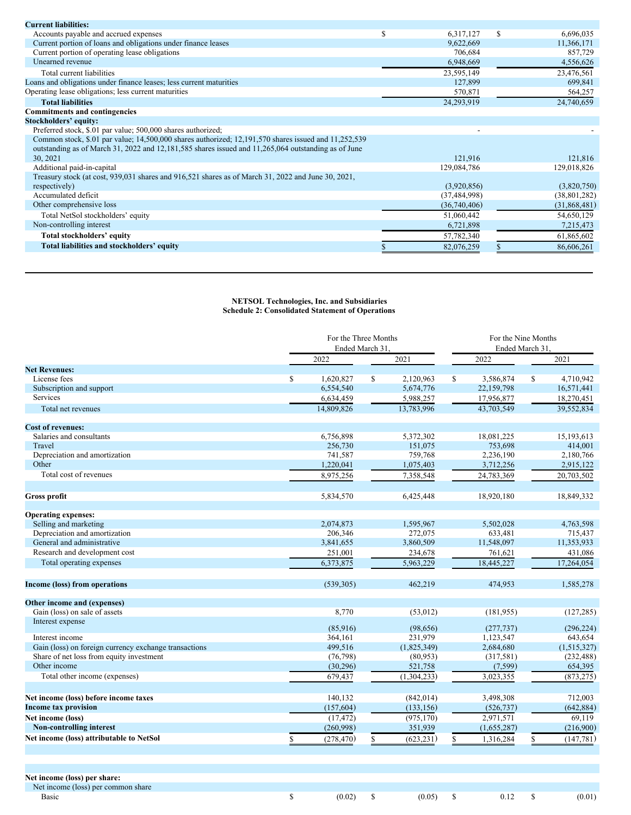<span id="page-3-0"></span>

| <b>Current liabilities:</b>                                                                          |   |                |   |                |
|------------------------------------------------------------------------------------------------------|---|----------------|---|----------------|
| Accounts payable and accrued expenses                                                                | ъ | 6,317,127      | S | 6,696,035      |
| Current portion of loans and obligations under finance leases                                        |   | 9,622,669      |   | 11,366,171     |
| Current portion of operating lease obligations                                                       |   | 706,684        |   | 857,729        |
| Unearned revenue                                                                                     |   | 6,948,669      |   | 4,556,626      |
| Total current liabilities                                                                            |   | 23,595,149     |   | 23,476,561     |
| Loans and obligations under finance leases; less current maturities                                  |   | 127,899        |   | 699,841        |
| Operating lease obligations; less current maturities                                                 |   | 570,871        |   | 564,257        |
| <b>Total liabilities</b>                                                                             |   | 24,293,919     |   | 24,740,659     |
| <b>Commitments and contingencies</b>                                                                 |   |                |   |                |
| Stockholders' equity:                                                                                |   |                |   |                |
| Preferred stock, \$.01 par value; 500,000 shares authorized;                                         |   |                |   |                |
| Common stock, \$.01 par value; 14,500,000 shares authorized; 12,191,570 shares issued and 11,252,539 |   |                |   |                |
| outstanding as of March 31, 2022 and 12,181,585 shares issued and 11,265,064 outstanding as of June  |   |                |   |                |
| 30, 2021                                                                                             |   | 121,916        |   | 121,816        |
| Additional paid-in-capital                                                                           |   | 129,084,786    |   | 129,018,826    |
| Treasury stock (at cost, 939,031 shares and 916,521 shares as of March 31, 2022 and June 30, 2021,   |   |                |   |                |
| respectively)                                                                                        |   | (3,920,856)    |   | (3,820,750)    |
| Accumulated deficit                                                                                  |   | (37, 484, 998) |   | (38, 801, 282) |
| Other comprehensive loss                                                                             |   | (36,740,406)   |   | (31,868,481)   |
| Total NetSol stockholders' equity                                                                    |   | 51,060,442     |   | 54,650,129     |
| Non-controlling interest                                                                             |   | 6,721,898      |   | 7,215,473      |
| Total stockholders' equity                                                                           |   | 57,782,340     |   | 61,865,602     |
| Total liabilities and stockholders' equity                                                           |   | 82,076,259     |   | 86,606,261     |

## **NETSOL Technologies, Inc. and Subsidiaries Schedule 2: Consolidated Statement of Operations**

|                                                          |    | For the Three Months<br>Ended March 31 |    |             |    | For the Nine Months<br>Ended March 31 |    |             |  |
|----------------------------------------------------------|----|----------------------------------------|----|-------------|----|---------------------------------------|----|-------------|--|
|                                                          |    | 2022                                   |    | 2021        |    | 2022                                  |    | 2021        |  |
| <b>Net Revenues:</b>                                     |    |                                        |    |             |    |                                       |    |             |  |
| License fees                                             | S. | 1.620.827                              | \$ | 2.120.963   | \$ | 3.586.874                             | S  | 4.710.942   |  |
| Subscription and support                                 |    | 6,554,540                              |    | 5,674,776   |    | 22,159,798                            |    | 16,571,441  |  |
| <b>Services</b>                                          |    | 6,634,459                              |    | 5,988,257   |    | 17,956,877                            |    | 18,270,451  |  |
| Total net revenues                                       |    | 14,809,826                             |    | 13,783,996  |    | 43,703,549                            |    | 39,552,834  |  |
| <b>Cost of revenues:</b>                                 |    |                                        |    |             |    |                                       |    |             |  |
| Salaries and consultants                                 |    | 6,756,898                              |    | 5,372,302   |    | 18,081,225                            |    | 15,193,613  |  |
| Travel                                                   |    | 256,730                                |    | 151,075     |    | 753,698                               |    | 414,001     |  |
| Depreciation and amortization                            |    | 741,587                                |    | 759,768     |    | 2,236,190                             |    | 2,180,766   |  |
| Other                                                    |    | 1,220,041                              |    | 1,075,403   |    | 3,712,256                             |    | 2,915,122   |  |
| Total cost of revenues                                   |    | 8,975,256                              |    | 7,358,548   |    | 24,783,369                            |    | 20,703,502  |  |
| <b>Gross profit</b>                                      |    | 5,834,570                              |    | 6,425,448   |    | 18,920,180                            |    | 18,849,332  |  |
| <b>Operating expenses:</b>                               |    |                                        |    |             |    |                                       |    |             |  |
| Selling and marketing                                    |    | 2,074,873                              |    | 1,595,967   |    | 5,502,028                             |    | 4,763,598   |  |
| Depreciation and amortization                            |    | 206,346                                |    | 272,075     |    | 633,481                               |    | 715,437     |  |
| General and administrative                               |    | 3,841,655                              |    | 3,860,509   |    | 11,548,097                            |    | 11,353,933  |  |
| Research and development cost                            |    | 251,001                                |    | 234,678     |    | 761,621                               |    | 431,086     |  |
| Total operating expenses                                 |    | 6,373,875                              |    | 5,963,229   |    | 18,445,227                            |    | 17,264,054  |  |
| Income (loss) from operations                            |    | (539, 305)                             |    | 462,219     |    | 474,953                               |    | 1,585,278   |  |
| Other income and (expenses)                              |    |                                        |    |             |    |                                       |    |             |  |
| Gain (loss) on sale of assets                            |    | 8,770                                  |    | (53, 012)   |    | (181, 955)                            |    | (127, 285)  |  |
| Interest expense                                         |    |                                        |    |             |    |                                       |    |             |  |
|                                                          |    | (85,916)                               |    | (98, 656)   |    | (277, 737)                            |    | (296, 224)  |  |
| Interest income                                          |    | 364.161                                |    | 231.979     |    | 1,123,547                             |    | 643.654     |  |
| Gain (loss) on foreign currency exchange transactions    |    | 499,516                                |    | (1,825,349) |    | 2,684,680                             |    | (1,515,327) |  |
| Share of net loss from equity investment<br>Other income |    | (76, 798)                              |    | (80,953)    |    | (317,581)                             |    | (232, 488)  |  |
|                                                          |    | (30, 296)                              |    | 521,758     |    | (7, 599)                              |    | 654,395     |  |
| Total other income (expenses)                            |    | 679,437                                |    | (1,304,233) |    | 3,023,355                             |    | (873, 275)  |  |
| Net income (loss) before income taxes                    |    | 140,132                                |    | (842, 014)  |    | 3,498,308                             |    | 712,003     |  |
| <b>Income tax provision</b>                              |    | (157, 604)                             |    | (133, 156)  |    | (526, 737)                            |    | (642, 884)  |  |
| Net income (loss)                                        |    | (17, 472)                              |    | (975, 170)  |    | 2,971,571                             |    | 69,119      |  |
| <b>Non-controlling interest</b>                          |    | (260,998)                              |    | 351,939     |    | (1,655,287)                           |    | (216,900)   |  |
| Net income (loss) attributable to NetSol                 | \$ | (278, 470)                             | \$ | (623, 231)  | \$ | 1,316,284                             | \$ | (147, 781)  |  |
|                                                          |    |                                        |    |             |    |                                       |    |             |  |

**Net income (loss) per share:**

Net income (loss) per common share

Basic  $\text{B} = \begin{bmatrix} 6 & 0.02 \end{bmatrix}$   $\begin{bmatrix} 0.02 & 5 \end{bmatrix}$   $\begin{bmatrix} 0.05 & 5 \end{bmatrix}$   $\begin{bmatrix} 0.12 & 5 \end{bmatrix}$   $\begin{bmatrix} 0.01 \end{bmatrix}$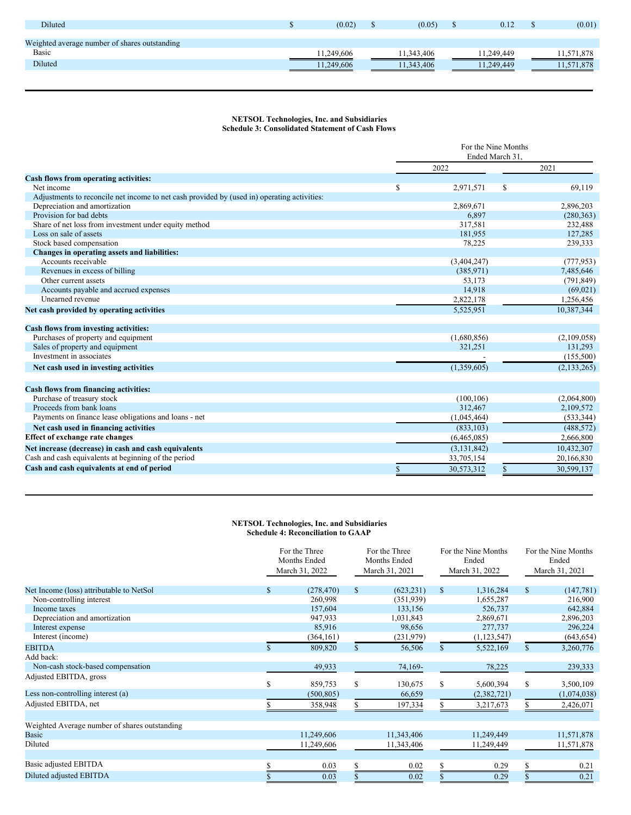| <b>Diluted</b>                                | (0.02)     | (0.05)     | 0.12<br>۰υ | (0.01)     |
|-----------------------------------------------|------------|------------|------------|------------|
|                                               |            |            |            |            |
| Weighted average number of shares outstanding |            |            |            |            |
| Basic                                         | 11.249.606 | 11.343.406 | 11.249.449 | 11,571,878 |
| Diluted                                       | 11.249.606 | 11.343.406 | 1.249.449  | 11.571.878 |
|                                               |            |            |            |            |

# **NETSOL Technologies, Inc. and Subsidiaries Schedule 3: Consolidated Statement of Cash Flows**

|                                                                                             | For the Nine Months |                 |               |               |  |  |
|---------------------------------------------------------------------------------------------|---------------------|-----------------|---------------|---------------|--|--|
|                                                                                             |                     | Ended March 31. |               |               |  |  |
|                                                                                             |                     | 2022            |               | 2021          |  |  |
| Cash flows from operating activities:                                                       |                     |                 |               |               |  |  |
| Net income                                                                                  | S                   | 2,971,571       | <sup>\$</sup> | 69,119        |  |  |
| Adjustments to reconcile net income to net cash provided by (used in) operating activities: |                     |                 |               |               |  |  |
| Depreciation and amortization                                                               |                     | 2,869,671       |               | 2,896,203     |  |  |
| Provision for bad debts                                                                     |                     | 6,897           |               | (280, 363)    |  |  |
| Share of net loss from investment under equity method                                       |                     | 317,581         |               | 232,488       |  |  |
| Loss on sale of assets                                                                      |                     | 181,955         |               | 127,285       |  |  |
| Stock based compensation                                                                    |                     | 78,225          |               | 239,333       |  |  |
| Changes in operating assets and liabilities:                                                |                     |                 |               |               |  |  |
| Accounts receivable                                                                         |                     | (3,404,247)     |               | (777, 953)    |  |  |
| Revenues in excess of billing                                                               |                     | (385, 971)      |               | 7,485,646     |  |  |
| Other current assets                                                                        |                     | 53,173          |               | (791, 849)    |  |  |
| Accounts payable and accrued expenses                                                       |                     | 14,918          |               | (69, 021)     |  |  |
| Unearned revenue                                                                            |                     | 2,822,178       |               | 1,256,456     |  |  |
| Net cash provided by operating activities                                                   |                     | 5,525,951       |               | 10.387.344    |  |  |
| Cash flows from investing activities:                                                       |                     |                 |               |               |  |  |
| Purchases of property and equipment                                                         |                     | (1,680,856)     |               | (2,109,058)   |  |  |
| Sales of property and equipment                                                             |                     | 321,251         |               | 131,293       |  |  |
| Investment in associates                                                                    |                     |                 |               | (155,500)     |  |  |
| Net cash used in investing activities                                                       |                     | (1,359,605)     |               | (2, 133, 265) |  |  |
| Cash flows from financing activities:                                                       |                     |                 |               |               |  |  |
| Purchase of treasury stock                                                                  |                     | (100, 106)      |               | (2,064,800)   |  |  |
| Proceeds from bank loans                                                                    |                     | 312,467         |               | 2,109,572     |  |  |
| Payments on finance lease obligations and loans - net                                       |                     | (1,045,464)     |               | (533, 344)    |  |  |
| Net cash used in financing activities                                                       |                     | (833, 103)      |               | (488, 572)    |  |  |
| <b>Effect of exchange rate changes</b>                                                      |                     | (6,465,085)     |               | 2,666,800     |  |  |
| Net increase (decrease) in cash and cash equivalents                                        |                     | (3, 131, 842)   |               | 10,432,307    |  |  |
| Cash and cash equivalents at beginning of the period                                        |                     | 33,705,154      |               | 20,166,830    |  |  |
| Cash and cash equivalents at end of period                                                  | S                   | 30,573,312      | \$            | 30.599.137    |  |  |
|                                                                                             |                     |                 |               |               |  |  |

## **NETSOL Technologies, Inc. and Subsidiaries Schedule 4: Reconciliation to GAAP**

|                                               |    | For the Three<br>Months Ended<br>March 31, 2022 |               | For the Three<br>Months Ended<br>March 31, 2021 | For the Nine Months<br>Ended<br>March 31, 2022 |               | For the Nine Months<br>Ended<br>March 31, 2021 |             |
|-----------------------------------------------|----|-------------------------------------------------|---------------|-------------------------------------------------|------------------------------------------------|---------------|------------------------------------------------|-------------|
| Net Income (loss) attributable to NetSol      | \$ | (278, 470)                                      | $\mathbb{S}$  | (623, 231)                                      | \$                                             | 1,316,284     | $\mathbb{S}$                                   | (147, 781)  |
| Non-controlling interest                      |    | 260,998                                         |               | (351,939)                                       |                                                | 1,655,287     |                                                | 216,900     |
| Income taxes                                  |    | 157,604                                         |               | 133,156                                         |                                                | 526,737       |                                                | 642,884     |
| Depreciation and amortization                 |    | 947,933                                         |               | 1,031,843                                       |                                                | 2,869,671     |                                                | 2,896,203   |
| Interest expense                              |    | 85,916                                          |               | 98,656                                          |                                                | 277,737       |                                                | 296,224     |
| Interest (income)                             |    | (364, 161)                                      |               | (231,979)                                       |                                                | (1, 123, 547) |                                                | (643, 654)  |
| <b>EBITDA</b>                                 |    | 809,820                                         | $\mathcal{S}$ | 56,506                                          | $\mathbb{S}$                                   | 5,522,169     | $\mathbb{S}$                                   | 3,260,776   |
| Add back:                                     |    |                                                 |               |                                                 |                                                |               |                                                |             |
| Non-cash stock-based compensation             |    | 49,933                                          |               | 74,169-                                         |                                                | 78,225        |                                                | 239,333     |
| Adjusted EBITDA, gross                        | \$ | 859,753                                         | S             | 130,675                                         | S.                                             | 5,600,394     | S                                              | 3,500,109   |
| Less non-controlling interest (a)             |    | (500, 805)                                      |               | 66,659                                          |                                                | (2,382,721)   |                                                | (1,074,038) |
| Adjusted EBITDA, net                          |    | 358,948                                         |               | 197,334                                         |                                                | 3,217,673     |                                                | 2,426,071   |
| Weighted Average number of shares outstanding |    |                                                 |               |                                                 |                                                |               |                                                |             |
| <b>Basic</b>                                  |    | 11,249,606                                      |               | 11,343,406                                      |                                                | 11,249,449    |                                                | 11,571,878  |
| Diluted                                       |    | 11,249,606                                      |               | 11,343,406                                      |                                                | 11,249,449    |                                                | 11,571,878  |
| Basic adjusted EBITDA                         |    | 0.03                                            | ς             | 0.02                                            | S                                              | 0.29          |                                                | 0.21        |
| Diluted adjusted EBITDA                       |    | 0.03                                            |               | 0.02                                            |                                                | 0.29          |                                                | 0.21        |